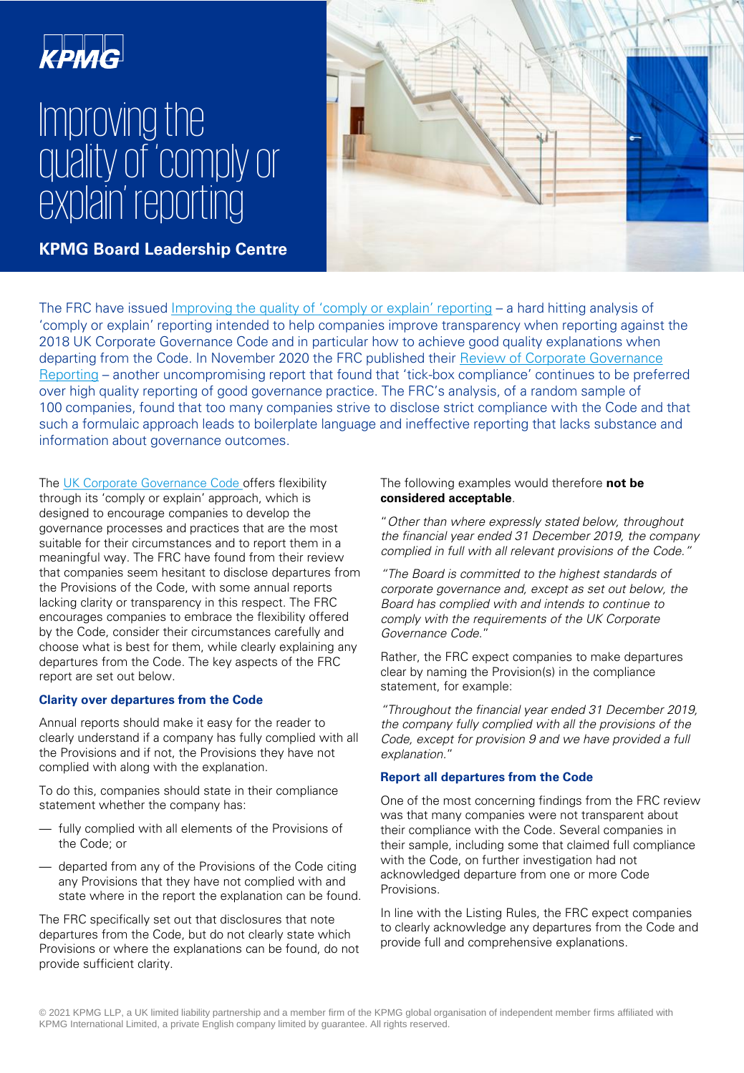# крмс

# Improving the style style style **Click to edit Master text styles** explain' reporting quality of 'comply or

**KPMG Board Leadership Centre** 



The FRC have issued [Improving the quality of 'comply or explain' reporting](https://www.frc.org.uk/getattachment/6a4c93cf-cf93-4b33-89e9-4c42ae36b594/Improving-the-Quality-of-Comply-or-Explain-Reporting.pdf) – a hard hitting analysis of 'comply or explain' reporting intended to help companies improve transparency when reporting against the 2018 UK Corporate Governance Code and in particular how to achieve good quality explanations when [departing from the Code. In November 2020 the FRC published their Review of Corporate Governance](https://www.frc.org.uk/getattachment/c22f7296-0839-420e-ae03-bdce3e157702/Governance-Report-2020-2611.pdf) Reporting – another uncompromising report that found that 'tick-box compliance' continues to be preferred over high quality reporting of good governance practice. The FRC's analysis, of a random sample of 100 companies, found that too many companies strive to disclose strict compliance with the Code and that such a formulaic approach leads to boilerplate language and ineffective reporting that lacks substance and information about governance outcomes.

The [UK Corporate Governance Code](https://www.frc.org.uk/getattachment/88bd8c45-50ea-4841-95b0-d2f4f48069a2/2018-UK-Corporate-Governance-Code-FINAL.pdf) offers flexibility through its 'comply or explain' approach, which is designed to encourage companies to develop the governance processes and practices that are the most suitable for their circumstances and to report them in a meaningful way. The FRC have found from their review that companies seem hesitant to disclose departures from the Provisions of the Code, with some annual reports lacking clarity or transparency in this respect. The FRC encourages companies to embrace the flexibility offered by the Code, consider their circumstances carefully and choose what is best for them, while clearly explaining any departures from the Code. The key aspects of the FRC report are set out below.

# **Clarity over departures from the Code**

Annual reports should make it easy for the reader to clearly understand if a company has fully complied with all the Provisions and if not, the Provisions they have not complied with along with the explanation.

To do this, companies should state in their compliance statement whether the company has:

- fully complied with all elements of the Provisions of the Code; or
- departed from any of the Provisions of the Code citing any Provisions that they have not complied with and state where in the report the explanation can be found.

The FRC specifically set out that disclosures that note departures from the Code, but do not clearly state which Provisions or where the explanations can be found, do not provide sufficient clarity.

# The following examples would therefore **not be considered acceptable**.

"Other than where expressly stated below, throughout the financial year ended 31 December 2019, the company complied in full with all relevant provisions of the Code.

"The Board is committed to the highest standards of corporate governance and, except as set out below, the Board has complied with and intends to continue to comply with the requirements of the UK Corporate Governance Code."

Rather, the FRC expect companies to make departures clear by naming the Provision(s) in the compliance statement, for example:

"Throughout the financial year ended 31 December 2019, the company fully complied with all the provisions of the Code, except for provision 9 and we have provided a full explanation."

# **Report all departures from the Code**

One of the most concerning findings from the FRC review was that many companies were not transparent about their compliance with the Code. Several companies in their sample, including some that claimed full compliance with the Code, on further investigation had not acknowledged departure from one or more Code Provisions.

In line with the Listing Rules, the FRC expect companies to clearly acknowledge any departures from the Code and provide full and comprehensive explanations.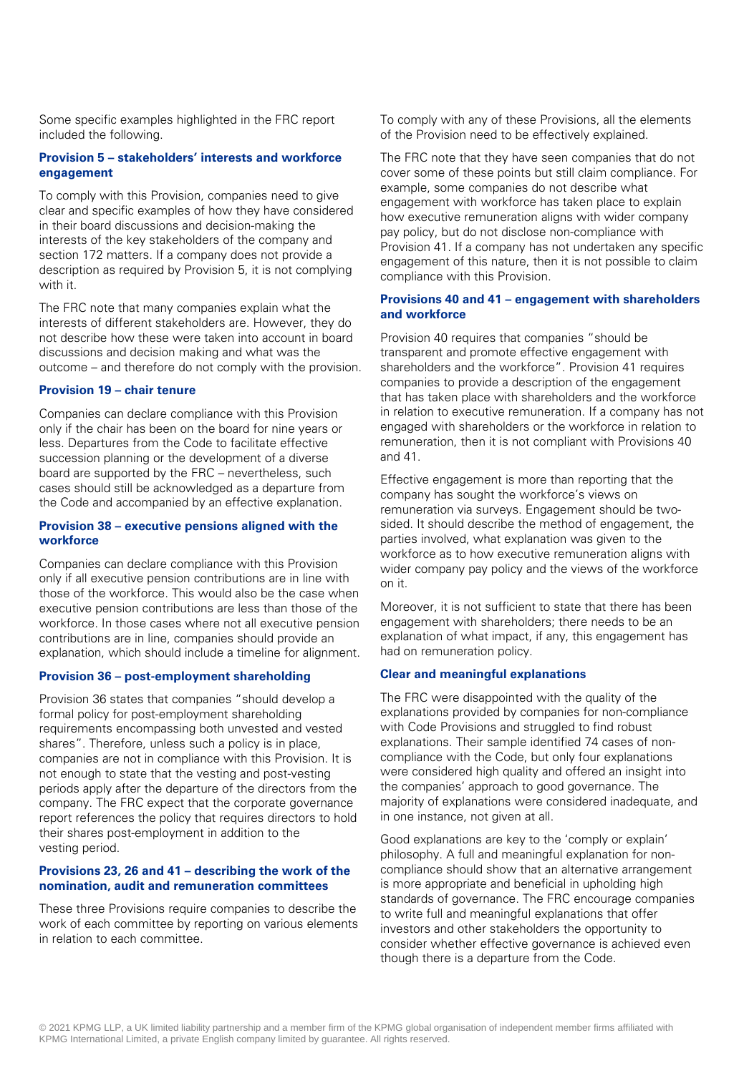Some specific examples highlighted in the FRC report included the following.

#### **Provision 5 – stakeholders' interests and workforce engagement**

To comply with this Provision, companies need to give clear and specific examples of how they have considered in their board discussions and decision-making the interests of the key stakeholders of the company and section 172 matters. If a company does not provide a description as required by Provision 5, it is not complying with it.

The FRC note that many companies explain what the interests of different stakeholders are. However, they do not describe how these were taken into account in board discussions and decision making and what was the outcome – and therefore do not comply with the provision.

#### **Provision 19 – chair tenure**

Companies can declare compliance with this Provision only if the chair has been on the board for nine years or less. Departures from the Code to facilitate effective succession planning or the development of a diverse board are supported by the FRC – nevertheless, such cases should still be acknowledged as a departure from the Code and accompanied by an effective explanation.

#### **Provision 38 – executive pensions aligned with the workforce**

Companies can declare compliance with this Provision only if all executive pension contributions are in line with those of the workforce. This would also be the case when executive pension contributions are less than those of the workforce. In those cases where not all executive pension contributions are in line, companies should provide an explanation, which should include a timeline for alignment.

# **Provision 36 – post-employment shareholding**

Provision 36 states that companies "should develop a formal policy for post-employment shareholding requirements encompassing both unvested and vested shares". Therefore, unless such a policy is in place, companies are not in compliance with this Provision. It is not enough to state that the vesting and post-vesting periods apply after the departure of the directors from the company. The FRC expect that the corporate governance report references the policy that requires directors to hold their shares post-employment in addition to the vesting period.

#### **Provisions 23, 26 and 41 – describing the work of the nomination, audit and remuneration committees**

These three Provisions require companies to describe the work of each committee by reporting on various elements in relation to each committee.

To comply with any of these Provisions, all the elements of the Provision need to be effectively explained.

The FRC note that they have seen companies that do not cover some of these points but still claim compliance. For example, some companies do not describe what engagement with workforce has taken place to explain how executive remuneration aligns with wider company pay policy, but do not disclose non-compliance with Provision 41. If a company has not undertaken any specific engagement of this nature, then it is not possible to claim compliance with this Provision.

### **Provisions 40 and 41 – engagement with shareholders and workforce**

Provision 40 requires that companies "should be transparent and promote effective engagement with shareholders and the workforce". Provision 41 requires companies to provide a description of the engagement that has taken place with shareholders and the workforce in relation to executive remuneration. If a company has not engaged with shareholders or the workforce in relation to remuneration, then it is not compliant with Provisions 40 and 41.

Effective engagement is more than reporting that the company has sought the workforce's views on remuneration via surveys. Engagement should be twosided. It should describe the method of engagement, the parties involved, what explanation was given to the workforce as to how executive remuneration aligns with wider company pay policy and the views of the workforce on it.

Moreover, it is not sufficient to state that there has been engagement with shareholders; there needs to be an explanation of what impact, if any, this engagement has had on remuneration policy.

#### **Clear and meaningful explanations**

The FRC were disappointed with the quality of the explanations provided by companies for non-compliance with Code Provisions and struggled to find robust explanations. Their sample identified 74 cases of noncompliance with the Code, but only four explanations were considered high quality and offered an insight into the companies' approach to good governance. The majority of explanations were considered inadequate, and in one instance, not given at all.

Good explanations are key to the 'comply or explain' philosophy. A full and meaningful explanation for noncompliance should show that an alternative arrangement is more appropriate and beneficial in upholding high standards of governance. The FRC encourage companies to write full and meaningful explanations that offer investors and other stakeholders the opportunity to consider whether effective governance is achieved even though there is a departure from the Code.